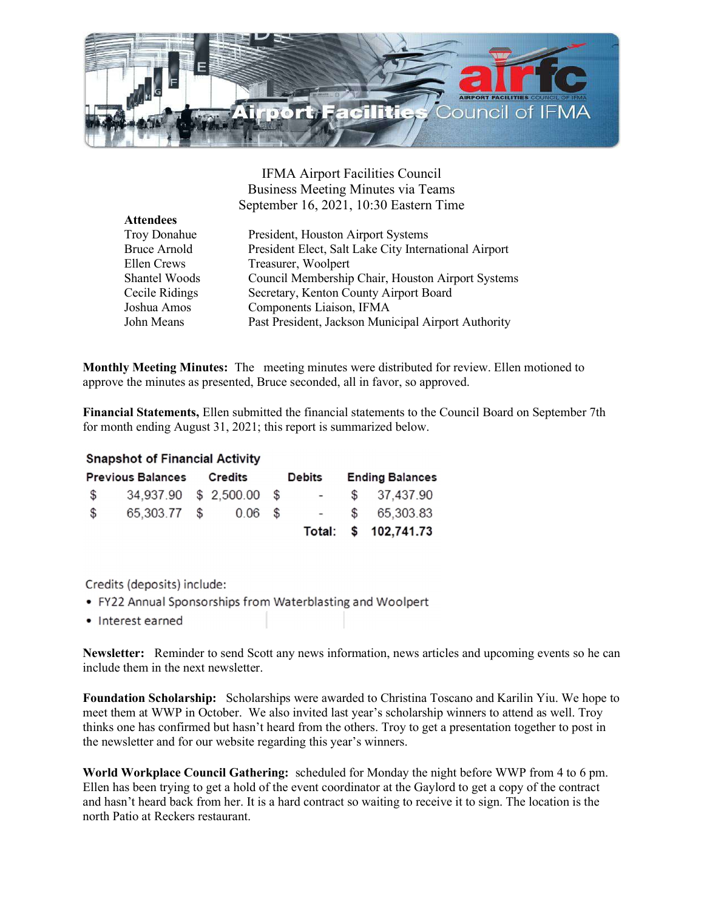

IFMA Airport Facilities Council Business Meeting Minutes via Teams September 16, 2021, 10:30 Eastern Time

| <b>Attendees</b>    |                                                       |
|---------------------|-------------------------------------------------------|
| <b>Troy Donahue</b> | President, Houston Airport Systems                    |
| <b>Bruce Arnold</b> | President Elect, Salt Lake City International Airport |
| Ellen Crews         | Treasurer, Woolpert                                   |
| Shantel Woods       | Council Membership Chair, Houston Airport Systems     |
| Cecile Ridings      | Secretary, Kenton County Airport Board                |
| Joshua Amos         | Components Liaison, IFMA                              |
| John Means          | Past President, Jackson Municipal Airport Authority   |

Monthly Meeting Minutes: The meeting minutes were distributed for review. Ellen motioned to approve the minutes as presented, Bruce seconded, all in favor, so approved.

Financial Statements, Ellen submitted the financial statements to the Council Board on September 7th for month ending August 31, 2021; this report is summarized below.

## **Snapshot of Financial Activity**

| <b>Previous Balances Credits</b> |                          |  |           | <b>Debits</b> |        | <b>Ending Balances</b> |                      |
|----------------------------------|--------------------------|--|-----------|---------------|--------|------------------------|----------------------|
| $\mathbb{S}$                     | 34.937.90 \$ 2,500.00 \$ |  |           |               | $\sim$ |                        | \$37,437.90          |
| \$                               | 65,303.77 \$             |  | $0.06$ \$ |               |        |                        | $-$ \$ 65,303.83     |
|                                  |                          |  |           |               |        |                        | Total: \$ 102,741.73 |

Credits (deposits) include:

- FY22 Annual Sponsorships from Waterblasting and Woolpert
- Interest earned

Newsletter: Reminder to send Scott any news information, news articles and upcoming events so he can include them in the next newsletter.

Foundation Scholarship: Scholarships were awarded to Christina Toscano and Karilin Yiu. We hope to meet them at WWP in October. We also invited last year's scholarship winners to attend as well. Troy thinks one has confirmed but hasn't heard from the others. Troy to get a presentation together to post in the newsletter and for our website regarding this year's winners.

World Workplace Council Gathering: scheduled for Monday the night before WWP from 4 to 6 pm. Ellen has been trying to get a hold of the event coordinator at the Gaylord to get a copy of the contract and hasn't heard back from her. It is a hard contract so waiting to receive it to sign. The location is the north Patio at Reckers restaurant.